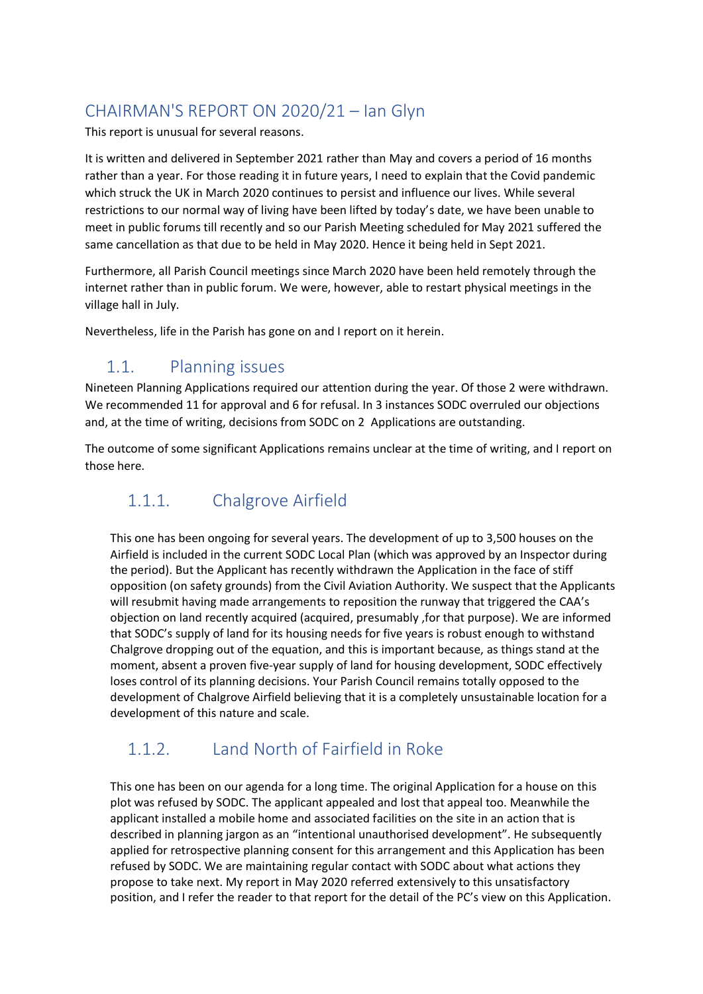# CHAIRMAN'S REPORT ON 2020/21 – Ian Glyn

This report is unusual for several reasons.

It is written and delivered in September 2021 rather than May and covers a period of 16 months rather than a year. For those reading it in future years, I need to explain that the Covid pandemic which struck the UK in March 2020 continues to persist and influence our lives. While several restrictions to our normal way of living have been lifted by today's date, we have been unable to meet in public forums till recently and so our Parish Meeting scheduled for May 2021 suffered the same cancellation as that due to be held in May 2020. Hence it being held in Sept 2021.

Furthermore, all Parish Council meetings since March 2020 have been held remotely through the internet rather than in public forum. We were, however, able to restart physical meetings in the village hall in July.

Nevertheless, life in the Parish has gone on and I report on it herein.

## 1.1. Planning issues

Nineteen Planning Applications required our attention during the year. Of those 2 were withdrawn. We recommended 11 for approval and 6 for refusal. In 3 instances SODC overruled our objections and, at the time of writing, decisions from SODC on 2 Applications are outstanding.

The outcome of some significant Applications remains unclear at the time of writing, and I report on those here.

## 1.1.1. Chalgrove Airfield

This one has been ongoing for several years. The development of up to 3,500 houses on the Airfield is included in the current SODC Local Plan (which was approved by an Inspector during the period). But the Applicant has recently withdrawn the Application in the face of stiff opposition (on safety grounds) from the Civil Aviation Authority. We suspect that the Applicants will resubmit having made arrangements to reposition the runway that triggered the CAA's objection on land recently acquired (acquired, presumably ,for that purpose). We are informed that SODC's supply of land for its housing needs for five years is robust enough to withstand Chalgrove dropping out of the equation, and this is important because, as things stand at the moment, absent a proven five-year supply of land for housing development, SODC effectively loses control of its planning decisions. Your Parish Council remains totally opposed to the development of Chalgrove Airfield believing that it is a completely unsustainable location for a development of this nature and scale.

#### 1.1.2. Land North of Fairfield in Roke

This one has been on our agenda for a long time. The original Application for a house on this plot was refused by SODC. The applicant appealed and lost that appeal too. Meanwhile the applicant installed a mobile home and associated facilities on the site in an action that is described in planning jargon as an "intentional unauthorised development". He subsequently applied for retrospective planning consent for this arrangement and this Application has been refused by SODC. We are maintaining regular contact with SODC about what actions they propose to take next. My report in May 2020 referred extensively to this unsatisfactory position, and I refer the reader to that report for the detail of the PC's view on this Application.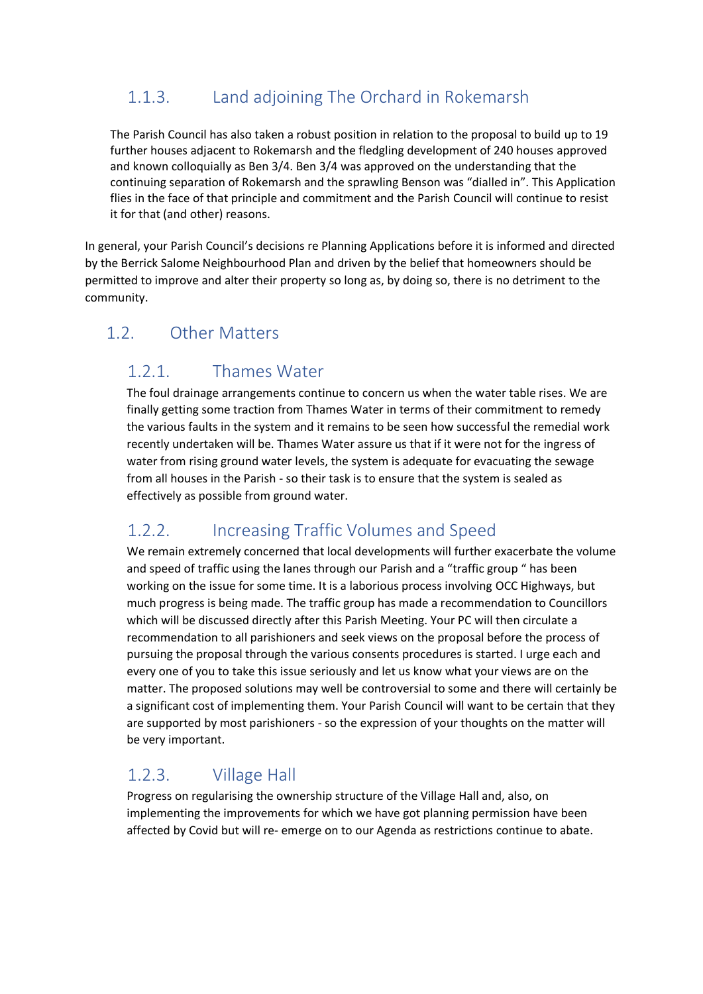## 1.1.3. Land adjoining The Orchard in Rokemarsh

The Parish Council has also taken a robust position in relation to the proposal to build up to 19 further houses adjacent to Rokemarsh and the fledgling development of 240 houses approved and known colloquially as Ben 3/4. Ben 3/4 was approved on the understanding that the continuing separation of Rokemarsh and the sprawling Benson was "dialled in". This Application flies in the face of that principle and commitment and the Parish Council will continue to resist it for that (and other) reasons.

In general, your Parish Council's decisions re Planning Applications before it is informed and directed by the Berrick Salome Neighbourhood Plan and driven by the belief that homeowners should be permitted to improve and alter their property so long as, by doing so, there is no detriment to the community.

## 1.2. Other Matters

#### 1.2.1. Thames Water

The foul drainage arrangements continue to concern us when the water table rises. We are finally getting some traction from Thames Water in terms of their commitment to remedy the various faults in the system and it remains to be seen how successful the remedial work recently undertaken will be. Thames Water assure us that if it were not for the ingress of water from rising ground water levels, the system is adequate for evacuating the sewage from all houses in the Parish - so their task is to ensure that the system is sealed as effectively as possible from ground water.

#### 1.2.2. Increasing Traffic Volumes and Speed

We remain extremely concerned that local developments will further exacerbate the volume and speed of traffic using the lanes through our Parish and a "traffic group " has been working on the issue for some time. It is a laborious process involving OCC Highways, but much progress is being made. The traffic group has made a recommendation to Councillors which will be discussed directly after this Parish Meeting. Your PC will then circulate a recommendation to all parishioners and seek views on the proposal before the process of pursuing the proposal through the various consents procedures is started. I urge each and every one of you to take this issue seriously and let us know what your views are on the matter. The proposed solutions may well be controversial to some and there will certainly be a significant cost of implementing them. Your Parish Council will want to be certain that they are supported by most parishioners - so the expression of your thoughts on the matter will be very important.

#### 1.2.3. Village Hall

Progress on regularising the ownership structure of the Village Hall and, also, on implementing the improvements for which we have got planning permission have been affected by Covid but will re- emerge on to our Agenda as restrictions continue to abate.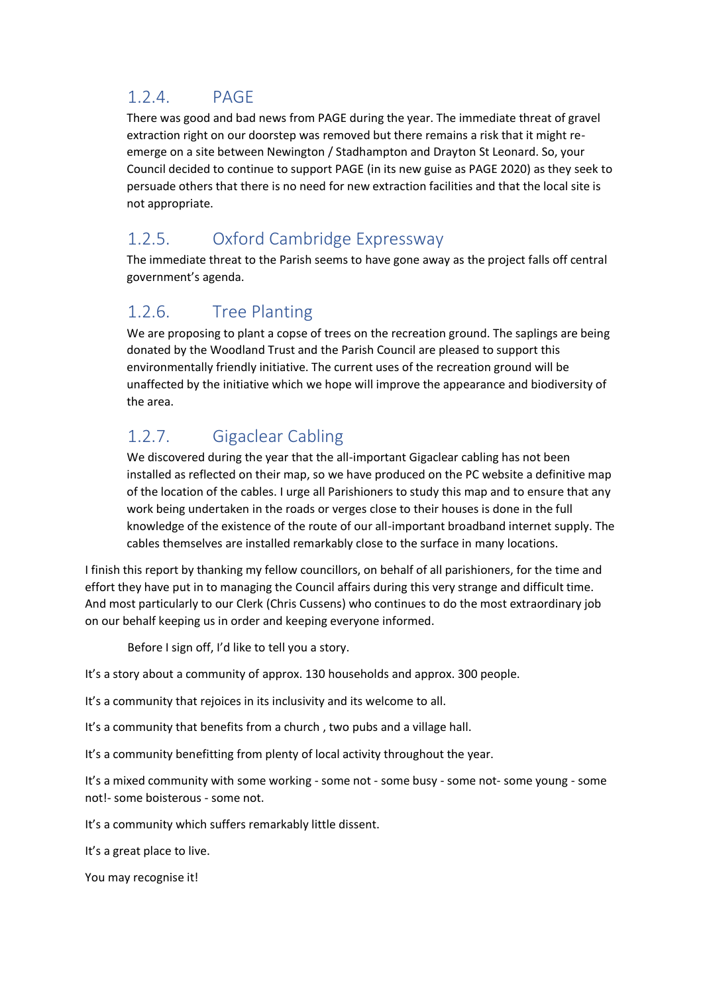#### 1.2.4. PAGE

There was good and bad news from PAGE during the year. The immediate threat of gravel extraction right on our doorstep was removed but there remains a risk that it might reemerge on a site between Newington / Stadhampton and Drayton St Leonard. So, your Council decided to continue to support PAGE (in its new guise as PAGE 2020) as they seek to persuade others that there is no need for new extraction facilities and that the local site is not appropriate.

## 1.2.5. Oxford Cambridge Expressway

The immediate threat to the Parish seems to have gone away as the project falls off central government's agenda.

#### 1.2.6. Tree Planting

We are proposing to plant a copse of trees on the recreation ground. The saplings are being donated by the Woodland Trust and the Parish Council are pleased to support this environmentally friendly initiative. The current uses of the recreation ground will be unaffected by the initiative which we hope will improve the appearance and biodiversity of the area.

## 1.2.7. Gigaclear Cabling

We discovered during the year that the all-important Gigaclear cabling has not been installed as reflected on their map, so we have produced on the PC website a definitive map of the location of the cables. I urge all Parishioners to study this map and to ensure that any work being undertaken in the roads or verges close to their houses is done in the full knowledge of the existence of the route of our all-important broadband internet supply. The cables themselves are installed remarkably close to the surface in many locations.

I finish this report by thanking my fellow councillors, on behalf of all parishioners, for the time and effort they have put in to managing the Council affairs during this very strange and difficult time. And most particularly to our Clerk (Chris Cussens) who continues to do the most extraordinary job on our behalf keeping us in order and keeping everyone informed.

Before I sign off, I'd like to tell you a story.

It's a story about a community of approx. 130 households and approx. 300 people.

It's a community that rejoices in its inclusivity and its welcome to all.

It's a community that benefits from a church , two pubs and a village hall.

It's a community benefitting from plenty of local activity throughout the year.

It's a mixed community with some working - some not - some busy - some not- some young - some not!- some boisterous - some not.

It's a community which suffers remarkably little dissent.

It's a great place to live.

You may recognise it!